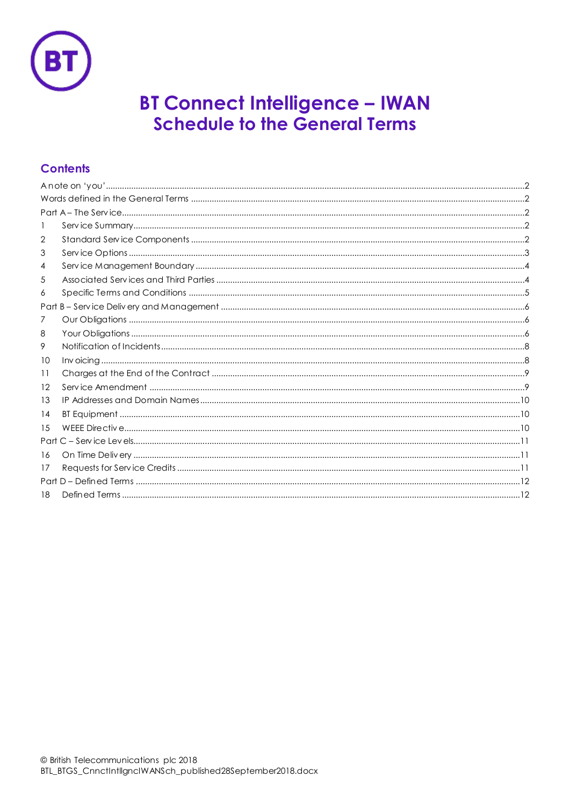

# **BT Connect Intelligence - IWAN<br>Schedule to the General Terms**

# **Contents**

| 1   |  |  |
|-----|--|--|
| 2   |  |  |
| 3   |  |  |
| 4   |  |  |
| 5   |  |  |
| 6   |  |  |
|     |  |  |
| 7   |  |  |
| 8   |  |  |
| 9   |  |  |
| 10  |  |  |
| 11  |  |  |
| 12  |  |  |
| 13  |  |  |
| 14  |  |  |
| 1.5 |  |  |
|     |  |  |
| 16  |  |  |
| 17  |  |  |
|     |  |  |
| 18  |  |  |
|     |  |  |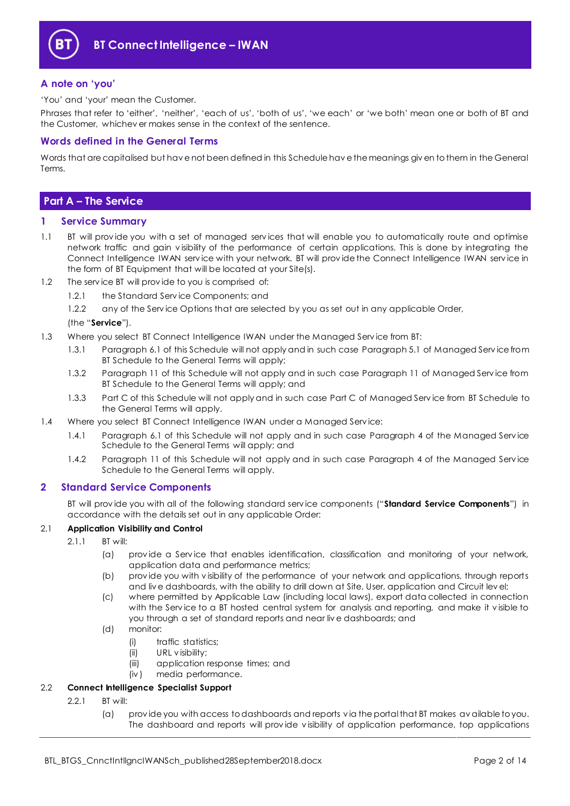

# <span id="page-1-0"></span>**A note on 'you'**

'You' and 'your' mean the Customer.

Phrases that refer to 'either', 'neither', 'each of us', 'both of us', 'we each' or 'we both' mean one or both of BT and the Customer, whichev er makes sense in the context of the sentence.

# <span id="page-1-1"></span>**Words defined in the General Terms**

Words that are capitalised but hav e not been defined in this Schedule hav e the meanings giv en to them in the General Terms.

# <span id="page-1-2"></span>**Part A – The Service**

#### <span id="page-1-3"></span>**1 Service Summary**

- 1.1 BT will prov ide you with a set of managed serv ices that will enable you to automatically route and optimise network traffic and gain v isibility of the performance of certain applications. This is done by integrating the Connect Intelligence IWAN serv ice with your network. BT will prov ide the Connect Intelligence IWAN serv ice in the form of BT Equipment that will be located at your Site(s).
- 1.2 The serv ice BT will prov ide to you is comprised of:
	- 1.2.1 the Standard Serv ice Components; and
		- 1.2.2 any of the Service Options that are selected by you as set out in any applicable Order,

#### (the "**Service**").

- 1.3 Where you select BT Connect Intelligence IWAN under the Managed Serv ice from BT:
	- 1.3.1 Paragraph 6.1 of this Schedule will not apply and in such case Paragraph 5.1 of Managed Serv ice from BT Schedule to the General Terms will apply;
	- 1.3.2 Paragraph 11 of this Schedule will not apply and in such case Paragraph 11 of Managed Serv ice from BT Schedule to the General Terms will apply; and
	- 1.3.3 Part C of this Schedule will not apply and in such case Part C of Managed Serv ice from BT Schedule to the General Terms will apply.
- 1.4 Where you select BT Connect Intelligence IWAN under a Managed Service:
	- 1.4.1 Paragraph 6.1 of this Schedule will not apply and in such case Paragraph 4 of the Managed Serv ice Schedule to the General Terms will apply; and
	- 1.4.2 Paragraph 11 of this Schedule will not apply and in such case Paragraph 4 of the Managed Serv ice Schedule to the General Terms will apply.

# <span id="page-1-4"></span>**2 Standard Service Components**

BT will prov ide you with all of the following standard serv ice components ("**Standard Service Components**") in accordance with the details set out in any applicable Order:

#### 2.1 **Application Visibility and Control**

- 2.1.1 BT will:
	- (a) prov ide a Serv ice that enables identification, classification and monitoring of your network, application data and performance metrics;
	- (b) prov ide you with v isibility of the performance of your network and applications, through reports and liv e dashboards, with the ability to drill down at Site, User, application and Circuit lev el;
	- (c) where permitted by Applicable Law (including local laws), export data collected in connection with the Serv ice to a BT hosted central system for analysis and reporting, and make it v isible to you through a set of standard reports and near liv e dashboards; and
	- (d) monitor:
		- (i) traffic statistics;
		- (ii) URL v isibility;
		- (iii) application response times; and
		- (iv ) media performance.

# 2.2 **Connect Intelligence Specialist Support**

- 2.2.1 BT will:
	- (a) prov ide you with access to dashboards and reports v ia the portal that BT makes av ailable to you. The dashboard and reports will prov ide v isibility of application performance, top applications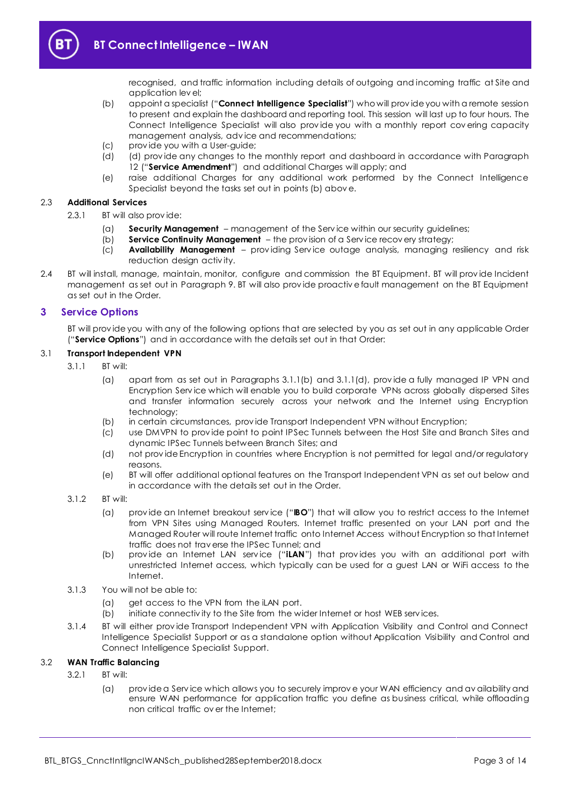

recognised, and traffic information including details of outgoing and incoming traffic at Site and application lev el;

- <span id="page-2-3"></span>(b) appoint a specialist ("**Connect Intelligence Specialist**") who will prov ide you with a remote session to present and explain the dashboard and reporting tool. This session will last up to four hours. The Connect Intelligence Specialist will also prov ide you with a monthly report cov ering capacity management analysis, adv ice and recommendations;
- (c) prov ide you with a User-guide;
- (d) (d) prov ide any changes to the monthly report and dashboard in accordance with Paragraph [12](#page-8-1) ("**Service Amendment**") and additional Charges will apply; and
- (e) raise additional Charges for any additional work performed by the Connect Intelligence Specialist beyond the tasks set out in points (b) abov e.

#### 2.3 **Additional Services**

- 2.3.1 BT will also prov ide:
	- (a) **Security Management** management of the Serv ice within our security guidelines;
	- (b) **Service Continuity Management** the prov ision of a Serv ice recov ery strategy;
	- (c) **Availability Management** prov iding Serv ice outage analysis, managing resiliency and risk reduction design activ ity.
- 2.4 BT will install, manage, maintain, monitor, configure and commission the BT Equipment. BT will prov ide Incident management as set out in Paragraph [9.](#page-7-0) BT will also prov ide proactiv e fault management on the BT Equipment as set out in the Order.

#### <span id="page-2-0"></span>**3 Service Options**

BT will prov ide you with any of the following options that are selected by you as set out in any applicable Order ("**Service Options**") and in accordance with the details set out in that Order:

#### 3.1 **Transport Independent VPN**

- <span id="page-2-1"></span> $3.1.1$  BT will:
	- (a) apart from as set out in Paragraphs [3.1.1\(b\)](#page-2-1) and [3.1.1\(d\),](#page-2-2) prov ide a fully managed IP VPN and Encryption Serv ice which will enable you to build corporate VPNs across globally dispersed Sites and transfer information securely across your network and the Internet using Encryption technology;
	- (b) in certain circumstances, prov ide Transport Independent VPN without Encryption;
	- (c) use DMVPN to prov ide point to point IPSec Tunnels between the Host Site and Branch Sites and dynamic IPSec Tunnels between Branch Sites; and
	- (d) not prov ide Encryption in countries where Encryption is not permitted for legal and/or regulatory reasons.
	- (e) BT will offer additional optional features on the Transport Independent VPN as set out below and in accordance with the details set out in the Order.
- <span id="page-2-4"></span><span id="page-2-2"></span>3.1.2 BT will:
	- (a) prov ide an Internet breakout serv ice ("**IBO**") that will allow you to restrict access to the Internet from VPN Sites using Managed Routers. Internet traffic presented on your LAN port and the Managed Router will route Internet traffic onto Internet Access without Encryption so that Internet traffic does not trav erse the IPSec Tunnel; and
	- (b) prov ide an Internet LAN serv ice ("**iLAN**") that prov ides you with an additional port with unrestricted Internet access, which typically can be used for a guest LAN or WiFi access to the Internet.
- <span id="page-2-5"></span>3.1.3 You will not be able to:
	- (a) get access to the VPN from the iLAN port.
	- (b) initiate connectiv ity to the Site from the wider Internet or host WEB serv ices.
- 3.1.4 BT will either prov ide Transport Independent VPN with Application Visibility and Control and Connect Intelligence Specialist Support or as a standalone option without Application Visibility and Control and Connect Intelligence Specialist Support.

# 3.2 **WAN Traffic Balancing**

- 3.2.1 BT will:
	- (a) prov ide a Serv ice which allows you to securely improv e your WAN efficiency and av ailability and ensure WAN performance for application traffic you define as business critical, while offloading non critical traffic ov er the Internet;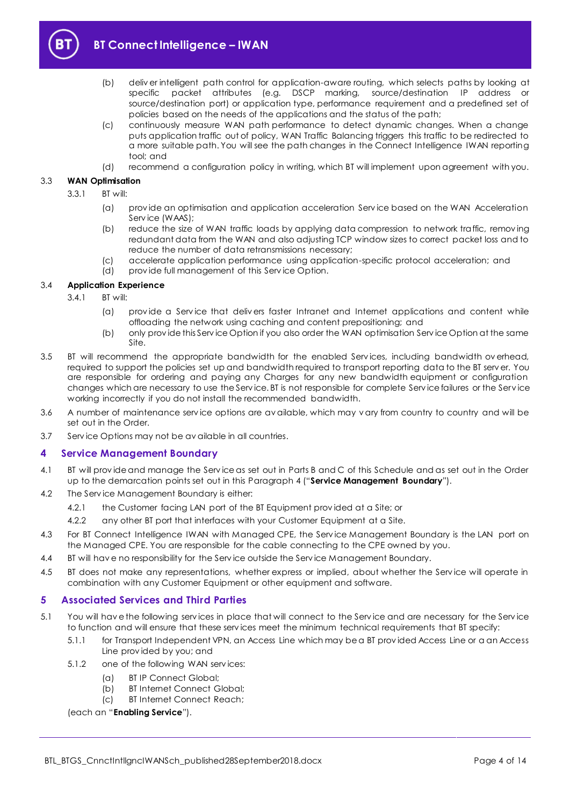

- (b) deliv er intelligent path control for application-aware routing, which selects paths by looking at specific packet attributes (e.g. DSCP marking, source/destination IP address or source/destination port) or application type, performance requirement and a predefined set of policies based on the needs of the applications and the status of the path;
- (c) continuously measure WAN path performance to detect dynamic changes. When a change puts application traffic out of policy, WAN Traffic Balancing triggers this traffic to be redirected to a more suitable path. You will see the path changes in the Connect Intelligence IWAN reporting tool; and
- (d) recommend a configuration policy in writing, which BT will implement upon agreement with you.

#### 3.3 **WAN Optimisation**

- 3.3.1 BT will:
	- (a) prov ide an optimisation and application acceleration Serv ice based on the WAN Acceleration Service (WAAS);
	- (b) reduce the size of WAN traffic loads by applying data compression to network traffic, remov ing redundant data from the WAN and also adjusting TCP window sizes to correct packet loss and to reduce the number of data retransmissions necessary;
	- (c) accelerate application performance using application-specific protocol acceleration; and
	- (d) prov ide full management of this Serv ice Option.

#### 3.4 **Application Experience**

- 3.4.1 BT will:
	- (a) prov ide a Serv ice that deliv ers faster Intranet and Internet applications and content while offloading the network using caching and content prepositioning; and
	- (b) only prov ide this Serv ice Option if you also order the WAN optimisation Serv ice Option at the same Site.
- 3.5 BT will recommend the appropriate bandwidth for the enabled Services, including bandwidth overhead, required to support the policies set up and bandwidth required to transport reporting data to the BT serv er. You are responsible for ordering and paying any Charges for any new bandwidth equipment or configuration changes which are necessary to use the Serv ice. BT is not responsible for complete Serv ice failures or the Serv ice working incorrectly if you do not install the recommended bandwidth.
- 3.6 A number of maintenance serv ice options are av ailable, which may v ary from country to country and will be set out in the Order.
- 3.7 Serv ice Options may not be av ailable in all countries.

# <span id="page-3-0"></span>**4 Service Management Boundary**

- <span id="page-3-3"></span>4.1 BT will prov ide and manage the Serv ice as set out in Parts B and C of this Schedule and as set out in the Order up to the demarcation points set out in this Paragraph [4](#page-3-0) ("**Service Management Boundary**").
- 4.2 The Serv ice Management Boundary is either:
	- 4.2.1 the Customer facing LAN port of the BT Equipment prov ided at a Site; or
	- 4.2.2 any other BT port that interfaces with your Customer Equipment at a Site.
- 4.3 For BT Connect Intelligence IWAN with Managed CPE, the Service Management Boundary is the LAN port on the Managed CPE. You are responsible for the cable connecting to the CPE owned by you.
- 4.4 BT will have no responsibility for the Service outside the Service Management Boundary.
- 4.5 BT does not make any representations, whether express or implied, about whether the Service will operate in combination with any Customer Equipment or other equipment and software.

# <span id="page-3-1"></span>**5 Associated Services and Third Parties**

- <span id="page-3-2"></span>5.1 You will hav e the following serv ices in place that will connect to the Serv ice and are necessary for the Serv ice to function and will ensure that these serv ices meet the minimum technical requirements that BT specify:
	- 5.1.1 for Transport Independent VPN, an Access Line which may be a BT prov ided Access Line or a an Access Line prov ided by you; and
	- 5.1.2 one of the following WAN serv ices:
		- (a) BT IP Connect Global;
		- (b) BT Internet Connect Global;
		- (c) BT Internet Connect Reach;

(each an "**Enabling Service**").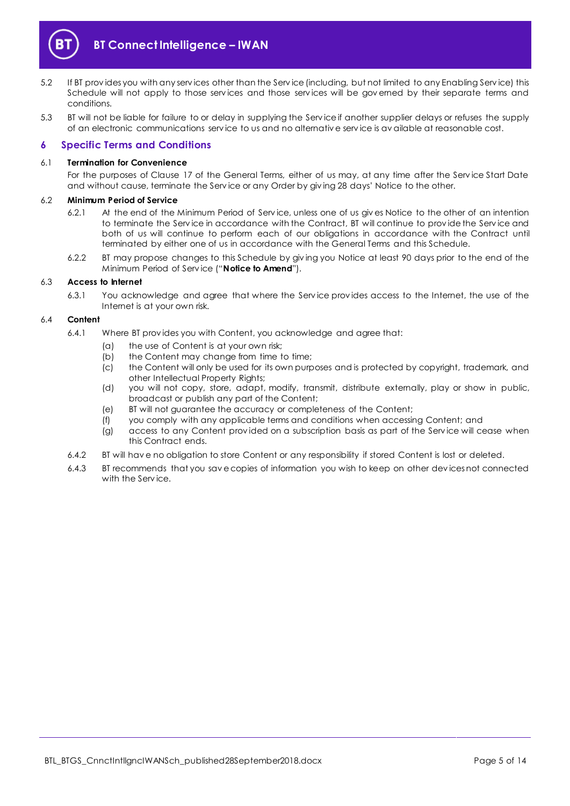

- 5.2 If BT prov ides you with any serv ices other than the Serv ice (including, but not limited to any Enabling Serv ice) this Schedule will not apply to those serv ices and those serv ices will be gov erned by their separate terms and conditions.
- 5.3 BT will not be liable for failure to or delay in supplying the Serv ice if another supplier delays or refuses the supply of an electronic communications serv ice to us and no alternativ e serv ice is av ailable at reasonable cost.

### <span id="page-4-0"></span>**6 Specific Terms and Conditions**

#### 6.1 **Termination for Convenience**

For the purposes of Clause 17 of the General Terms, either of us may, at any time after the Serv ice Start Date and without cause, terminate the Serv ice or any Order by giv ing 28 days' Notice to the other.

#### <span id="page-4-1"></span>6.2 **Minimum Period of Service**

- 6.2.1 At the end of the Minimum Period of Serv ice, unless one of us giv es Notice to the other of an intention to terminate the Serv ice in accordance with the Contract, BT will continue to prov ide the Serv ice and both of us will continue to perform each of our obligations in accordance with the Contract until terminated by either one of us in accordance with the General Terms and this Schedule.
- 6.2.2 BT may propose changes to this Schedule by giv ing you Notice at least 90 days prior to the end of the Minimum Period of Serv ice ("**Notice to Amend**").

#### 6.3 **Access to Internet**

6.3.1 You acknowledge and agree that where the Serv ice prov ides access to the Internet, the use of the Internet is at your own risk.

#### 6.4 **Content**

- 6.4.1 Where BT prov ides you with Content, you acknowledge and agree that:
	- (a) the use of Content is at your own risk;
	- (b) the Content may change from time to time;
	- (c) the Content will only be used for its own purposes and is protected by copyright, trademark, and other Intellectual Property Rights;
	- (d) you will not copy, store, adapt, modify, transmit, distribute externally, play or show in public, broadcast or publish any part of the Content;
	- (e) BT will not guarantee the accuracy or completeness of the Content;
	- (f) you comply with any applicable terms and conditions when accessing Content; and
	- (g) access to any Content prov ided on a subscription basis as part of the Serv ice will cease when this Contract ends.
- 6.4.2 BT will hav e no obligation to store Content or any responsibility if stored Content is lost or deleted.
- 6.4.3 BT recommends that you sav e copies of information you wish to keep on other dev ices not connected with the Service.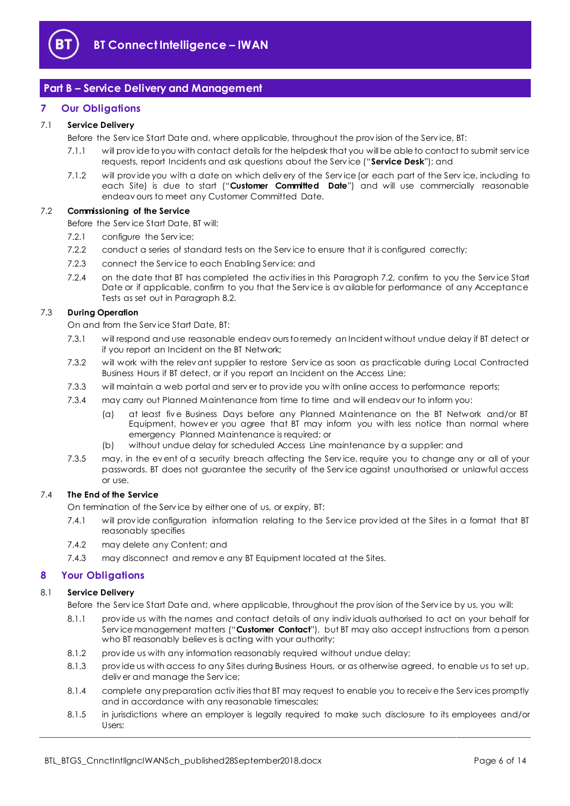

# <span id="page-5-0"></span>**Part B – Service Delivery and Management**

# <span id="page-5-1"></span>**7 Our Obligations**

#### <span id="page-5-9"></span>7.1 **Service Delivery**

Before the Serv ice Start Date and, where applicable, throughout the prov ision of the Serv ice, BT:

- 7.1.1 will prov ide to you with contact details for the helpdesk that you will be able to contact to submit serv ice requests, report Incidents and ask questions about the Serv ice ("**Service Desk**"); and
- <span id="page-5-7"></span>7.1.2 will prov ide you with a date on which deliv ery of the Serv ice (or each part of the Serv ice, including to each Site) is due to start ("**Customer Committed Date**") and will use commercially reasonable endeav ours to meet any Customer Committed Date.

#### <span id="page-5-3"></span>7.2 **Commissioning of the Service**

Before the Serv ice Start Date, BT will:

- 7.2.1 configure the Service:
- 7.2.2 conduct a series of standard tests on the Serv ice to ensure that it is configured correctly;
- 7.2.3 connect the Serv ice to each Enabling Serv ice; and
- <span id="page-5-4"></span>7.2.4 on the date that BT has completed the activ ities in this Paragraph [7.2,](#page-5-3) confirm to you the Serv ice Start Date or if applicable, confirm to you that the Service is av ailable for performance of any Acceptance Tests as set out in Paragraph [8.2.](#page-6-0)

#### <span id="page-5-5"></span>7.3 **During Operation**

On and from the Serv ice Start Date, BT:

- 7.3.1 will respond and use reasonable endeav ours to remedy an Incident without undue delay if BT detect or if you report an Incident on the BT Network;
- <span id="page-5-6"></span>7.3.2 will work with the relev ant supplier to restore Serv ice as soon as practicable during Local Contracted Business Hours if BT detect, or if you report an Incident on the Access Line;
- 7.3.3 will maintain a web portal and serv er to prov ide you with online access to performance reports;
- 7.3.4 may carry out Planned Maintenance from time to time and will endeav our to inform you:
	- (a) at least fiv e Business Days before any Planned Maintenance on the BT Network and/or BT Equipment, howev er you agree that BT may inform you with less notice than normal where emergency Planned Maintenance is required; or
	- (b) without undue delay for scheduled Access Line maintenance by a supplier; and
- 7.3.5 may, in the ev ent of a security breach affecting the Serv ice, require you to change any or all of your passwords. BT does not guarantee the security of the Serv ice against unauthorised or unlawful access or use.

# 7.4 **The End of the Service**

On termination of the Serv ice by either one of us, or expiry, BT:

- 7.4.1 will prov ide configuration information relating to the Serv ice prov ided at the Sites in a format that BT reasonably specifies
- 7.4.2 may delete any Content; and
- 7.4.3 may disconnect and remov e any BT Equipment located at the Sites.

# <span id="page-5-2"></span>**8 Your Obligations**

# 8.1 **Service Delivery**

Before the Serv ice Start Date and, where applicable, throughout the prov ision of the Serv ice by us, you will:

- <span id="page-5-8"></span>8.1.1 prov ide us with the names and contact details of any indiv iduals authorised to act on your behalf for Serv ice management matters ("**Customer Contact**"), but BT may also accept instructions from a person who BT reasonably believ es is acting with your authority;
- 8.1.2 prov ide us with any information reasonably required without undue delay;
- 8.1.3 prov ide us with access to any Sites during Business Hours, or as otherwise agreed, to enable us to set up, deliv er and manage the Serv ice;
- 8.1.4 complete any preparation activ ities that BT may request to enable you to receiv e the Serv ices promptly and in accordance with any reasonable timescales;
- 8.1.5 in jurisdictions where an employer is legally required to make such disclosure to its employees and/or Users: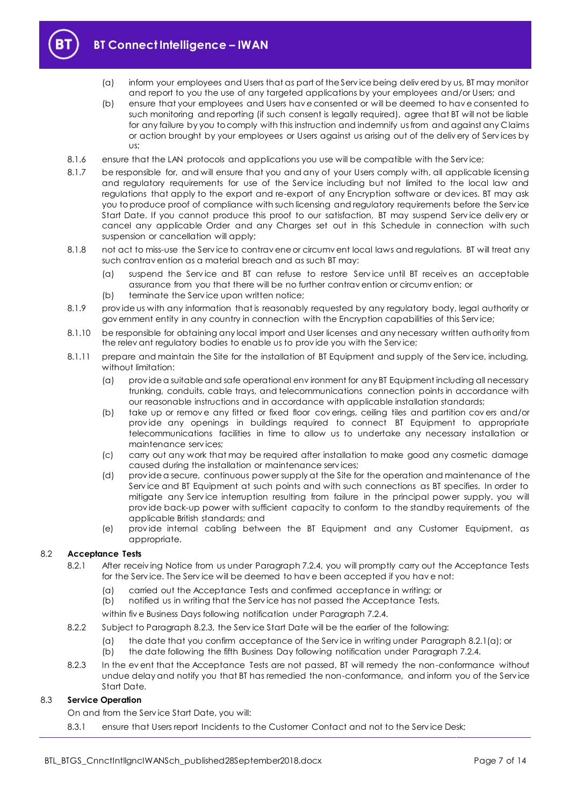

- (a) inform your employees and Users that as part of the Serv ice being deliv ered by us, BT may monitor and report to you the use of any targeted applications by your employees and/or Users; and
- (b) ensure that your employees and Users hav e consented or will be deemed to hav e consented to such monitoring and reporting (if such consent is legally required), agree that BT will not be liable for any failure by you to comply with this instruction and indemnify us from and against any Claims or action brought by your employees or Users against us arising out of the deliv ery of Serv ices by us;
- 8.1.6 ensure that the LAN protocols and applications you use will be compatible with the Service;
- 8.1.7 be responsible for, and will ensure that you and any of your Users comply with, all applicable licensing and regulatory requirements for use of the Service including but not limited to the local law and regulations that apply to the export and re-export of any Encryption software or dev ices. BT may ask you to produce proof of compliance with such licensing and regulatory requirements before the Service Start Date. If you cannot produce this proof to our satisfaction, BT may suspend Service delivery or cancel any applicable Order and any Charges set out in this Schedule in connection with such suspension or cancellation will apply;
- 8.1.8 not act to miss-use the Serv ice to contrav ene or circumv ent local laws and regulations. BT will treat any such contrav ention as a material breach and as such BT may:
	- (a) suspend the Serv ice and BT can refuse to restore Serv ice until BT receiv es an acceptable assurance from you that there will be no further contrav ention or circumv ention; or
	- (b) terminate the Serv ice upon written notice;
- 8.1.9 prov ide us with any information that is reasonably requested by any regulatory body, legal authority or gov ernment entity in any country in connection with the Encryption capabilities of this Service;
- 8.1.10 be responsible for obtaining any local import and User licenses and any necessary written authority from the relev ant regulatory bodies to enable us to prov ide you with the Serv ice;
- 8.1.11 prepare and maintain the Site for the installation of BT Equipment and supply of the Service, including, without limitation:
	- (a) prov ide a suitable and safe operational env ironment for any BT Equipment including all necessary trunking, conduits, cable trays, and telecommunications connection points in accordance with our reasonable instructions and in accordance with applicable installation standards;
	- (b) take up or remov e any fitted or fixed floor cov erings, ceiling tiles and partition cov ers and/or prov ide any openings in buildings required to connect BT Equipment to appropriate telecommunications facilities in time to allow us to undertake any necessary installation or maintenance serv ices;
	- (c) carry out any work that may be required after installation to make good any cosmetic damage caused during the installation or maintenance serv ices;
	- (d) prov ide a secure, continuous power supply at the Site for the operation and maintenance of the Service and BT Equipment at such points and with such connections as BT specifies. In order to mitigate any Service interruption resulting from failure in the principal power supply, you will prov ide back-up power with sufficient capacity to conform to the standby requirements of the applicable British standards; and
	- (e) prov ide internal cabling between the BT Equipment and any Customer Equipment, as appropriate.

#### <span id="page-6-2"></span><span id="page-6-0"></span>8.2 **Acceptance Tests**

- 8.2.1 After receiving Notice from us under Paragraph [7.2.4,](#page-5-4) you will promptly carry out the Acceptance Tests for the Serv ice. The Serv ice will be deemed to hav e been accepted if you hav e not:
	- (a) carried out the Acceptance Tests and confirmed acceptance in writing; or
	- (b) notified us in writing that the Serv ice has not passed the Acceptance Tests,
	- within fiv e Business Days following notification under Paragraph [7.2.4.](#page-5-4)
- 8.2.2 Subject to Paragraph [8.2.3,](#page-6-1) the Serv ice Start Date will be the earlier of the following:
	- (a) the date that you confirm acceptance of the Serv ice in writing under Paragraph [8.2.1\(a\);](#page-6-2) or
	- (b) the date following the fifth Business Day following notification under Paragraph [7.2.4.](#page-5-4)
- <span id="page-6-1"></span>8.2.3 In the ev ent that the Acceptance Tests are not passed, BT will remedy the non-conformance without undue delay and notify you that BT has remedied the non-conformance, and inform you of the Serv ice Start Date.

#### 8.3 **Service Operation**

On and from the Serv ice Start Date, you will:

8.3.1 ensure that Users report Incidents to the Customer Contact and not to the Service Desk;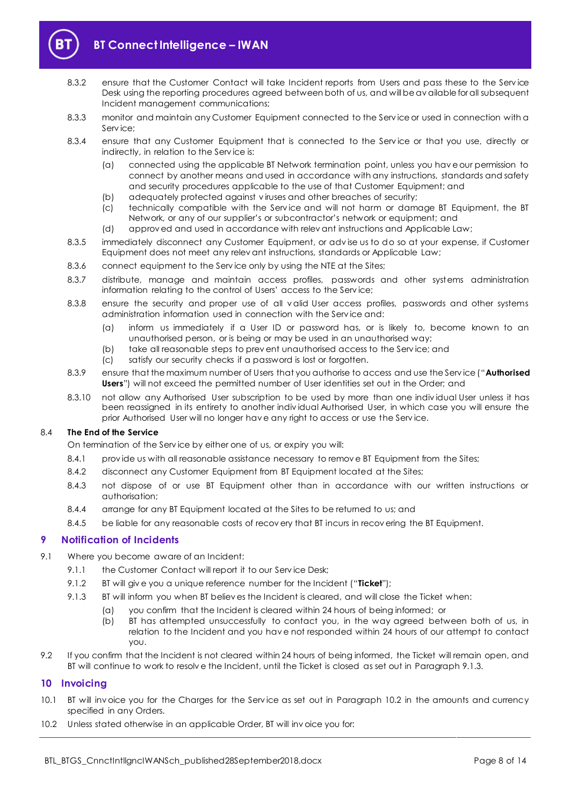

- 8.3.2 ensure that the Customer Contact will take Incident reports from Users and pass these to the Service Desk using the reporting procedures agreed between both of us, and will be av ailable for all subsequent Incident management communications;
- 8.3.3 monitor and maintain any Customer Equipment connected to the Serv ice or used in connection with a Serv ice;
- 8.3.4 ensure that any Customer Equipment that is connected to the Service or that you use, directly or indirectly, in relation to the Serv ice is:
	- (a) connected using the applicable BT Network termination point, unless you hav e our permission to connect by another means and used in accordance with any instructions, standards and safety and security procedures applicable to the use of that Customer Equipment; and
	- (b) adequately protected against v iruses and other breaches of security;
	- (c) technically compatible with the Serv ice and will not harm or damage BT Equipment, the BT Network, or any of our supplier's or subcontractor's network or equipment; and
	- (d) approv ed and used in accordance with relev ant instructions and Applicable Law;
- 8.3.5 immediately disconnect any Customer Equipment, or adv ise us to do so at your expense, if Customer Equipment does not meet any relev ant instructions, standards or Applicable Law;
- 8.3.6 connect equipment to the Service only by using the NTE at the Sites;
- 8.3.7 distribute, manage and maintain access profiles, passwords and other systems administration information relating to the control of Users' access to the Serv ice;
- 8.3.8 ensure the security and proper use of all v alid User access profiles, passwords and other systems administration information used in connection with the Serv ice and:
	- (a) inform us immediately if a User ID or password has, or is likely to, become known to an unauthorised person, or is being or may be used in an unauthorised way;
	- (b) take all reasonable steps to prev ent unauthorised access to the Serv ice; and
	- (c) satisfy our security checks if a password is lost or forgotten.
- <span id="page-7-4"></span>8.3.9 ensure that the maximum number of Users that you authorise to access and use the Serv ice ("**Authorised Users**") will not exceed the permitted number of User identities set out in the Order; and
- 8.3.10 not allow any Authorised User subscription to be used by more than one indiv idual User unless it has been reassigned in its entirety to another indiv idual Authorised User, in which case you will ensure the prior Authorised User will no longer hav e any right to access or use the Serv ice.

#### 8.4 **The End of the Service**

On termination of the Serv ice by either one of us, or expiry you will:

- 8.4.1 provide us with all reasonable assistance necessary to remove BT Equipment from the Sites;
- 8.4.2 disconnect any Customer Equipment from BT Equipment located at the Sites;
- 8.4.3 not dispose of or use BT Equipment other than in accordance with our written instructions or authorisation;
- 8.4.4 arrange for any BT Equipment located at the Sites to be returned to us; and
- 8.4.5 be liable for any reasonable costs of recovery that BT incurs in recovering the BT Equipment.

#### <span id="page-7-0"></span>**9 Notification of Incidents**

- <span id="page-7-5"></span><span id="page-7-2"></span>9.1 Where you become aware of an Incident:
	- 9.1.1 the Customer Contact will report it to our Service Desk;
	- 9.1.2 BT will giv e you a unique reference number for the Incident ("**Ticket**");
		- 9.1.3 BT will inform you when BT believ es the Incident is cleared, and will close the Ticket when:
			- (a) you confirm that the Incident is cleared within 24 hours of being informed; or
			- (b) BT has attempted unsuccessfully to contact you, in the way agreed between both of us, in relation to the Incident and you hav e not responded within 24 hours of our attempt to contact you.
- 9.2 If you confirm that the Incident is not cleared within 24 hours of being informed, the Ticket will remain open, and BT will continue to work to resolv e the Incident, until the Ticket is closed as set out in Paragraph [9.1.3.](#page-7-2)

#### <span id="page-7-1"></span>**10 Invoicing**

- 10.1 BT will inv oice you for the Charges for the Serv ice as set out in Paragraph [10.2](#page-7-3) in the amounts and currency specified in any Orders.
- <span id="page-7-3"></span>10.2 Unless stated otherwise in an applicable Order, BT will inv oice you for: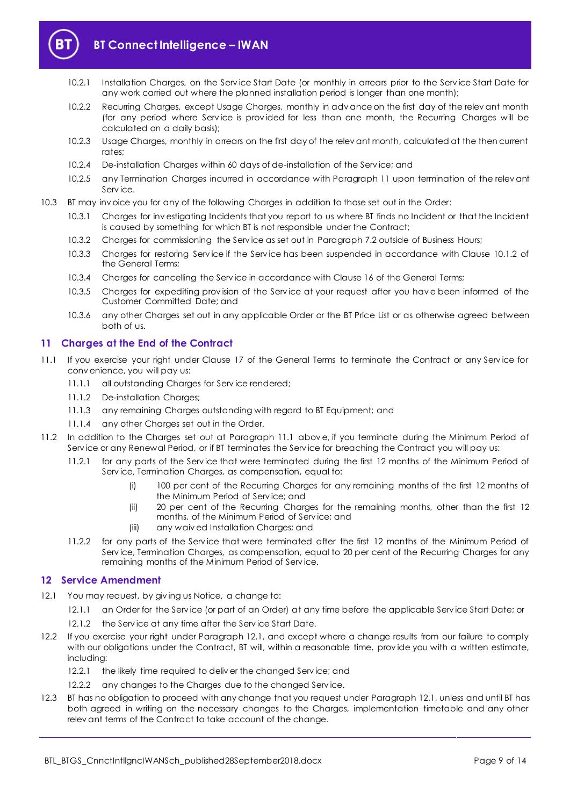

# **BT Connect Intelligence – IWAN**

- 10.2.1 Installation Charges, on the Serv ice Start Date (or monthly in arrears prior to the Serv ice Start Date for any work carried out where the planned installation period is longer than one month);
- 10.2.2 Recurring Charges, except Usage Charges, monthly in adv ance on the first day of the relev ant month (for any period where Service is provided for less than one month, the Recurring Charges will be calculated on a daily basis);
- 10.2.3 Usage Charges, monthly in arrears on the first day of the relev ant month, calculated at the then current rates;
- 10.2.4 De-installation Charges within 60 days of de-installation of the Serv ice; and
- 10.2.5 any Termination Charges incurred in accordance with Paragraph [11](#page-8-0) upon termination of the relevant Serv ice.
- 10.3 BT may inv oice you for any of the following Charges in addition to those set out in the Order:
	- 10.3.1 Charges for inv estigating Incidents that you report to us where BT finds no Incident or that the Incident is caused by something for which BT is not responsible under the Contract;
	- 10.3.2 Charges for commissioning the Serv ice as set out in Paragraph [7.2](#page-5-3) outside of Business Hours;
	- 10.3.3 Charges for restoring Serv ice if the Serv ice has been suspended in accordance with Clause 10.1.2 of the General Terms;
	- 10.3.4 Charges for cancelling the Serv ice in accordance with Clause 16 of the General Terms;
	- 10.3.5 Charges for expediting prov ision of the Serv ice at your request after you hav e been informed of the Customer Committed Date; and
	- 10.3.6 any other Charges set out in any applicable Order or the BT Price List or as otherwise agreed between both of us.

# <span id="page-8-0"></span>**11 Charges at the End of the Contract**

- <span id="page-8-2"></span>11.1 If you exercise your right under Clause 17 of the General Terms to terminate the Contract or any Serv ice for conv enience, you will pay us:
	- 11.1.1 all outstanding Charges for Serv ice rendered;
	- 11.1.2 De-installation Charges;
	- 11.1.3 any remaining Charges outstanding with regard to BT Equipment; and
	- 11.1.4 any other Charges set out in the Order.
- 11.2 In addition to the Charges set out at Paragraph [11.1](#page-8-2) abov e, if you terminate during the Minimum Period of Serv ice or any Renewal Period, or if BT terminates the Serv ice for breaching the Contract you will pay us:
	- 11.2.1 for any parts of the Serv ice that were terminated during the first 12 months of the Minimum Period of Serv ice, Termination Charges, as compensation, equal to:
		- (i) 100 per cent of the Recurring Charges for any remaining months of the first 12 months of the Minimum Period of Serv ice; and
		- (ii) 20 per cent of the Recurring Charges for the remaining months, other than the first 12 months, of the Minimum Period of Serv ice; and
		- (iii) any waiv ed Installation Charges; and
	- 11.2.2 for any parts of the Serv ice that were terminated after the first 12 months of the Minimum Period of Service, Termination Charges, as compensation, equal to 20 per cent of the Recurring Charges for any remaining months of the Minimum Period of Serv ice.

# <span id="page-8-1"></span>**12 Service Amendment**

- <span id="page-8-3"></span>12.1 You may request, by giving us Notice, a change to:
	- 12.1.1 an Order for the Serv ice (or part of an Order) at any time before the applicable Serv ice Start Date; or
	- 12.1.2 the Service at any time after the Service Start Date.
- 12.2 If you exercise your right under Paragraph [12.1,](#page-8-3) and except where a change results from our failure to comply with our obligations under the Contract, BT will, within a reasonable time, provide you with a written estimate, including:
	- 12.2.1 the likely time required to deliver the changed Service; and
	- 12.2.2 any changes to the Charges due to the changed Service.
- 12.3 BT has no obligation to proceed with any change that you request under Paragraph [12.1,](#page-8-3) unless and until BT has both agreed in writing on the necessary changes to the Charges, implementation timetable and any other relev ant terms of the Contract to take account of the change.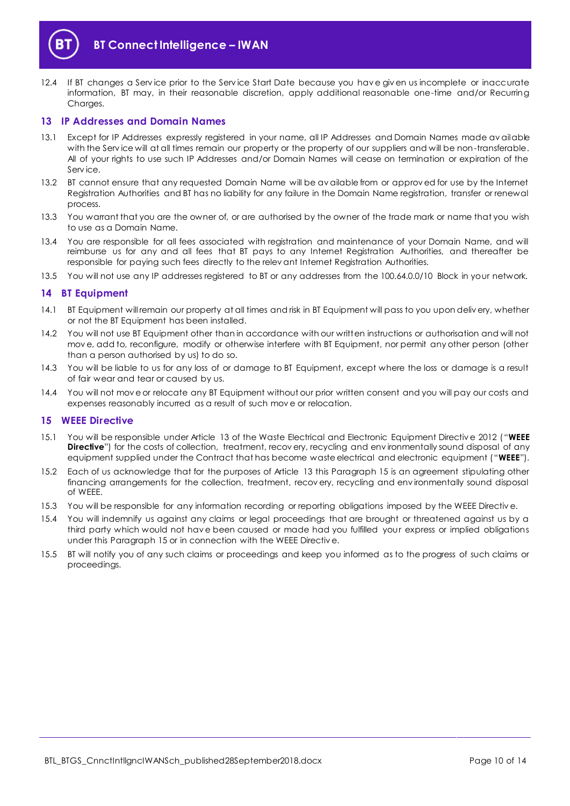



12.4 If BT changes a Serv ice prior to the Serv ice Start Date because you hav e giv en us incomplete or inaccurate information, BT may, in their reasonable discretion, apply additional reasonable one-time and/or Recurring Charges.

#### <span id="page-9-0"></span>**13 IP Addresses and Domain Names**

- 13.1 Except for IP Addresses expressly registered in your name, all IP Addresses and Domain Names made av ailable with the Service will at all times remain our property or the property of our suppliers and will be non-transferable. All of your rights to use such IP Addresses and/or Domain Names will cease on termination or expiration of the Serv ice.
- 13.2 BT cannot ensure that any requested Domain Name will be av ailable from or approv ed for use by the Internet Registration Authorities and BT has no liability for any failure in the Domain Name registration, transfer or renewal process.
- 13.3 You warrant that you are the owner of, or are authorised by the owner of the trade mark or name that you wish to use as a Domain Name.
- 13.4 You are responsible for all fees associated with registration and maintenance of your Domain Name, and will reimburse us for any and all fees that BT pays to any Internet Registration Authorities, and thereafter be responsible for paying such fees directly to the relev ant Internet Registration Authorities.
- 13.5 You will not use any IP addresses registered to BT or any addresses from the 100.64.0.0/10 Block in your network.

# <span id="page-9-1"></span>**14 BT Equipment**

- 14.1 BT Equipment will remain our property at all times and risk in BT Equipment will pass to you upon deliv ery, whether or not the BT Equipment has been installed.
- 14.2 You will not use BT Equipment other than in accordance with our written instructions or authorisation and will not mov e, add to, reconfigure, modify or otherwise interfere with BT Equipment, nor permit any other person (other than a person authorised by us) to do so.
- 14.3 You will be liable to us for any loss of or damage to BT Equipment, except where the loss or damage is a result of fair wear and tear or caused by us.
- 14.4 You will not mov e or relocate any BT Equipment without our prior written consent and you will pay our costs and expenses reasonably incurred as a result of such mov e or relocation.

#### <span id="page-9-2"></span>**15 WEEE Directive**

- <span id="page-9-3"></span>15.1 You will be responsible under Article 13 of the Waste Electrical and Electronic Equipment Directiv e 2012 ("**WEEE Directive**") for the costs of collection, treatment, recov ery, recycling and environmentally sound disposal of any equipment supplied under the Contract that has become waste electrical and electronic equipment ("**WEEE**").
- 15.2 Each of us acknowledge that for the purposes of Article 13 this Paragraph [15](#page-9-2) is an agreement stipulating other financing arrangements for the collection, treatment, recov ery, recycling and env ironmentally sound disposal of WEEE.
- 15.3 You will be responsible for any information recording or reporting obligations imposed by the WEEE Directive.
- 15.4 You will indemnify us against any claims or legal proceedings that are brought or threatened against us by a third party which would not hav e been caused or made had you fulfilled your express or implied obligations under this Paragraph [15](#page-9-2) or in connection with the WEEE Directiv e.
- 15.5 BT will notify you of any such claims or proceedings and keep you informed as to the progress of such claims or proceedings.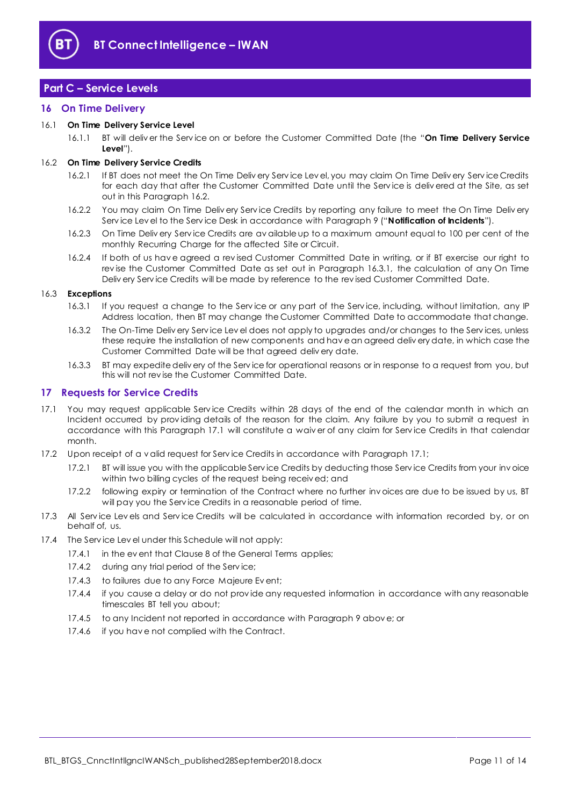

# <span id="page-10-0"></span>**Part C – Service Levels**

# <span id="page-10-1"></span>**16 On Time Delivery**

#### 16.1 **On Time Delivery Service Level**

16.1.1 BT will deliv er the Serv ice on or before the Customer Committed Date (the "**On Time Delivery Service Level**").

# <span id="page-10-3"></span>16.2 **On Time Delivery Service Credits**

- 16.2.1 If BT does not meet the On Time Deliv ery Serv ice Lev el, you may claim On Time Deliv ery Serv ice Credits for each day that after the Customer Committed Date until the Serv ice is deliv ered at the Site, as set out in this Paragraph [16.2.](#page-10-3)
- 16.2.2 You may claim On Time Deliv ery Serv ice Credits by reporting any failure to meet the On Time Deliv ery Serv ice Lev el to the Serv ice Desk in accordance with Paragraph [9](#page-7-0) ("**Notification of Incidents**").
- 16.2.3 On Time Deliv ery Serv ice Credits are av ailable up to a maximum amount equal to 100 per cent of the monthly Recurring Charge for the affected Site or Circuit.
- 16.2.4 If both of us hav e agreed a rev ised Customer Committed Date in writing, or if BT exercise our right to rev ise the Customer Committed Date as set out in Paragraph [16.3.1,](#page-10-4) the calculation of any On Time Deliv ery Serv ice Credits will be made by reference to the rev ised Customer Committed Date.

#### <span id="page-10-4"></span>16.3 **Exceptions**

- 16.3.1 If you request a change to the Serv ice or any part of the Serv ice, including, without limitation, any IP Address location, then BT may change the Customer Committed Date to accommodate that change.
- 16.3.2 The On-Time Deliv ery Serv ice Lev el does not apply to upgrades and/or changes to the Serv ices, unless these require the installation of new components and hav e an agreed deliv ery date, in which case the Customer Committed Date will be that agreed deliv ery date.
- 16.3.3 BT may expedite deliv ery of the Serv ice for operational reasons or in response to a request from you, but this will not rev ise the Customer Committed Date.

# <span id="page-10-2"></span>**17 Requests for Service Credits**

- <span id="page-10-5"></span>17.1 You may request applicable Service Credits within 28 days of the end of the calendar month in which an Incident occurred by prov iding details of the reason for the claim. Any failure by you to submit a request in accordance with this Paragraph [17.1](#page-10-5) will constitute a waiv er of any claim for Serv ice Credits in that calendar month.
- 17.2 Upon receipt of a v alid request for Service Credits in accordance with Paragrap[h 17.1;](#page-10-5)
	- 17.2.1 BT will issue you with the applicable Serv ice Credits by deducting those Serv ice Credits from your inv oice within two billing cycles of the request being receiv ed; and
	- 17.2.2 following expiry or termination of the Contract where no further inv oices are due to be issued by us, BT will pay you the Serv ice Credits in a reasonable period of time.
- 17.3 All Service Levels and Service Credits will be calculated in accordance with information recorded by, or on behalf of, us.
- 17.4 The Serv ice Lev el under this Schedule will not apply:
	- 17.4.1 in the ev ent that Clause 8 of the General Terms applies;
	- 17.4.2 during any trial period of the Service;
	- 17.4.3 to failures due to any Force Majeure Ev ent;
	- 17.4.4 if you cause a delay or do not prov ide any requested information in accordance with any reasonable timescales BT tell you about;
	- 17.4.5 to any Incident not reported in accordance with Paragraph [9](#page-7-0) abov e; or
	- 17.4.6 if you hav e not complied with the Contract.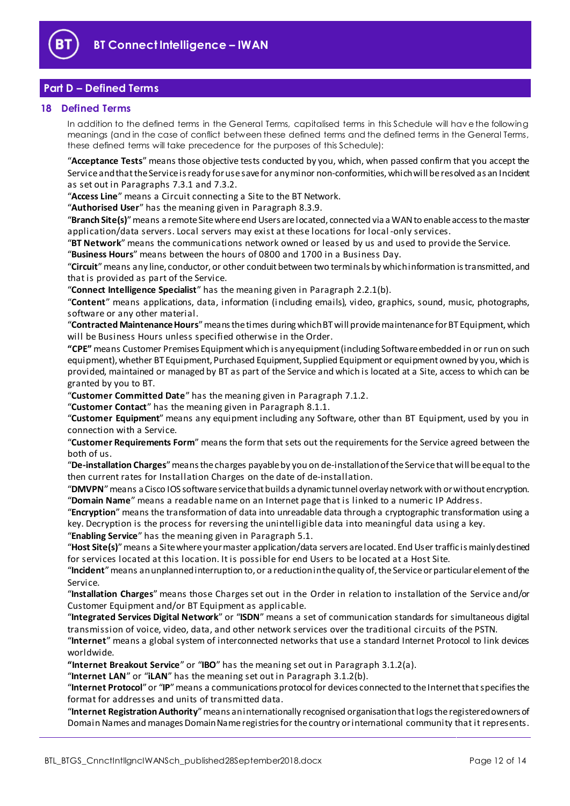

# <span id="page-11-0"></span>**Part D – Defined Terms**

#### <span id="page-11-1"></span>**18 Defined Terms**

In addition to the defined terms in the General Terms, capitalised terms in this Schedule will hav e the following meanings (and in the case of conflict between these defined terms and the defined terms in the General Terms, these defined terms will take precedence for the purposes of this Schedule):

"**Acceptance Tests**" means those objective tests conducted by you, which, when passed confirm that you accept the Service and that the Service is ready for use save for any minor non-conformities, which will be resolved as an Incident as set out in Paragrap[hs 7.3](#page-5-5).1 [and 7.3](#page-5-6).2.

"**Access Line**" means a Circuit connecting a Site to the BT Network.

"**Authorised User**" has the meaning given in Paragr[aph](#page-7-4) 8.3.9.

"**Branch Site(s)**"means a remote Site where end Users are located, connected via a WAN to enable access to the master application/data servers. Local servers may exist at these locations for local -only services.

"**BT Network**" means the communications network owned or leased by us and used to provide the Service.

"**Business Hours**" means between the hours of 0800 and 1700 in a Business Day.

"**Circuit**"means any line, conductor, or other conduit between two terminals by which information is transmitted, and that is provided as part of the Service.

"**Connect Intelligence Specialist**" has the meaning given in Paragr[aph 2.2.1](#page-2-3)(b).

"**Content**" means applications, data, information (including emails), video, graphics, sound, music, photographs, software or any other material.

"**Contracted Maintenance Hours**"means the times during which BT will provide maintenance for BT Equipment, which will be Business Hours unless specified otherwise in the Order.

**"CPE"** means Customer Premises Equipment which is any equipment (including Software embedded in or run on such equipment), whether BT Equipment, Purchased Equipment, Supplied Equipment or equipment owned by you, which is provided, maintained or managed by BT as part of the Service and which is located at a Site, access to which can be granted by you to BT.

"**Customer Committed Date**" has the meaning given in Parag[raph](#page-5-7) 7.1.2.

"**Customer Contact**" has the meaning given in Paragr[aph](#page-5-8) 8.1.1.

"**Customer Equipment**" means any equipment including any Software, other than BT Equipment, used by you in connection with a Service.

"**Customer Requirements Form**" means the form that sets out the requirements for the Service agreed between the both of us.

"**De-installation Charges**"means the charges payable by you on de-installation of the Service that will be equal to the then current rates for Installation Charges on the date of de-installation.

"**DMVPN**"means a Cisco IOS software service that builds a dynamic tunnel overlay network with or without encryption. "**Domain Name**" means a readable name on an Internet page that is linked to a numeric IP Address.

"**Encryption**" means the transformation of data into unreadable data through a cryptographic transformation using a key. Decryption is the process for reversing the unintelligible data into meaningful data using a key.

"**Enabling Service**" has the meaning given in Paragr[aph](#page-3-2) 5.1.

"**Host Site(s)**"means a Site where your master application/data servers are located. End User traffic is mainly destined for services located at this location. It is possible for end Users to be located at a Host Site.

"**Incident**"means an unplanned interruption to, or a reduction in the quality of, the Service or particular element of the Service.

"**Installation Charges**" means those Charges set out in the Order in relation to installation of the Service and/or Customer Equipment and/or BT Equipment as applicable.

"**Integrated Services Digital Network**" or "**ISDN**" means a set of communication standards for simultaneous digital transmission of voice, video, data, and other network services over the traditional circuits of the PSTN.

"**Internet**" means a global system of interconnected networks that use a standard Internet Protocol to link devices worldwide.

**"Internet Breakout Service**" or "**IBO**" has the meaning set out in Parag[raph](#page-2-4) 3.1.2(a).

"**Internet LAN**" or "**iLAN**" has the meaning set out in Parag[raph](#page-2-5) 3.1.2(b).

"**Internet Protocol**"or "**IP**"means a communications protocol for devices connected to the Internet that specifies the format for addresses and units of transmitted data.

"**Internet Registration Authority**"means an internationally recognised organisation that logs the registered owners of Domain Names and manages Domain Name registries for the country or international community that it represents.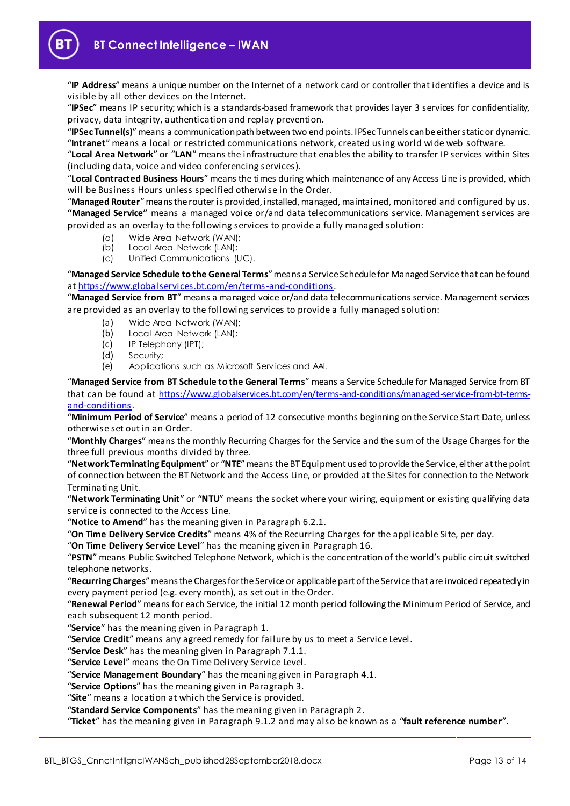

"**IP Address**" means a unique number on the Internet of a network card or controller that identifies a device and is visible by all other devices on the Internet.

"**IPSec**" means IP security; which is a standards-based framework that provides layer 3 services for confidentiality, privacy, data integrity, authentication and replay prevention.

"**IPSec Tunnel(s)**"means a communication path between two end points. IPSec Tunnels can be either static or dynamic. "**Intranet**" means a local or restricted communications network, created using world wide web software.

"**Local Area Network**" or "**LAN**" means the infrastructure that enables the ability to transfer IP services within Sites (including data, voice and video conferencing services).

"**Local Contracted Business Hours**" means the times during which maintenance of any Access Line is provided, which will be Business Hours unless specified otherwise in the Order.

"**Managed Router**"means the router is provided, installed, managed, maintained, monitored and configured by us. **"Managed Service"** means a managed voice or/and data telecommunications service. Management services are provided as an overlay to the following services to provide a fully managed solution:

- (a) Wide Area Network (WAN);
- (b) Local Area Network (LAN);
- (c) Unified Communications (UC).

"**Managed Service Schedule to the General Terms**" means a Service Schedule for Managed Service that can be found a[t https://www.globalservices.bt.com/en/terms-and-conditio](https://www.globalservices.bt.com/en/terms-and-conditions)ns.

"**Managed Service from BT**" means a managed voice or/and data telecommunications service. Management services are provided as an overlay to the following services to provide a fully managed solution:

- (a) Wide Area Network (WAN);
- (b) Local Area Network (LAN);
- (c) IP Telephony (IPT);
- (d) Security;
- (e) Applications such as Microsoft Serv ices and AAI.

"**Managed Service from BT Schedule to the General Terms**" means a Service Schedule for Managed Service from BT that can be found at [https://www.globalservices.bt.com/en/terms-and-conditions/managed-service-from-bt-terms](https://www.globalservices.bt.com/en/terms-and-conditions/managed-service-from-bt-terms-and-conditions)[and-conditions](https://www.globalservices.bt.com/en/terms-and-conditions/managed-service-from-bt-terms-and-conditions).

"**Minimum Period of Service**" means a period of 12 consecutive months beginning on the Service Start Date, unless otherwise set out in an Order.

"**Monthly Charges**" means the monthly Recurring Charges for the Service and the sum of the Usage Charges for the three full previous months divided by three.

"**Network Terminating Equipment**"or "**NTE**"means the BT Equipment used to provide the Service, either at the point of connection between the BT Network and the Access Line, or provided at the Sites for connection to the Network Terminating Unit.

"**Network Terminating Unit**" or "**NTU**" means the socket where your wiring, equipment or existing qualifying data service is connected to the Access Line.

"**Notice to Amend**" has the meaning given in Paragr[aph](#page-4-1) 6.2.1.

"**On Time Delivery Service Credits**" means 4% of the Recurring Charges for the applicable Site, per day.

"**On Time Delivery Service Level**" has the meaning given in Parag[raph](#page-10-1) 16.

"**PSTN**" means Public Switched Telephone Network, which is the concentration of the world's public circuit switched telephone networks.

"**Recurring Charges**"means the Charges for the Service or applicable part of the Service that are invoiced repeatedly in every payment period (e.g. every month), as set out in the Order.

"**Renewal Period**" means for each Service, the initial 12 month period following the Minimum Period of Service, and each subsequent 12 month period.

"**Service**" has the meaning given in Paragr[aph](#page-1-3) 1.

"**Service Credit**" means any agreed remedy for failure by us to meet a Service Level.

"**Service Desk**" has the meaning given in Paragr[aph](#page-5-9) 7.1.1.

"**Service Level**" means the On Time Delivery Servi ce Level.

"**Service Management Boundary**" has the meaning given in Parag[raph](#page-3-3) 4.1.

"**Service Options**" has the meaning given in Paragr[ap](#page-2-0)h 3.

"**Site**" means a location at which the Service is provided.

"**Standard Service Components**" has the meaning given in Parag[rap](#page-1-4)h 2.

"**Ticket**" has the meaning given in Paragr[aph](#page-7-5) 9.1.2 and may also be known as a "**fault reference number**".